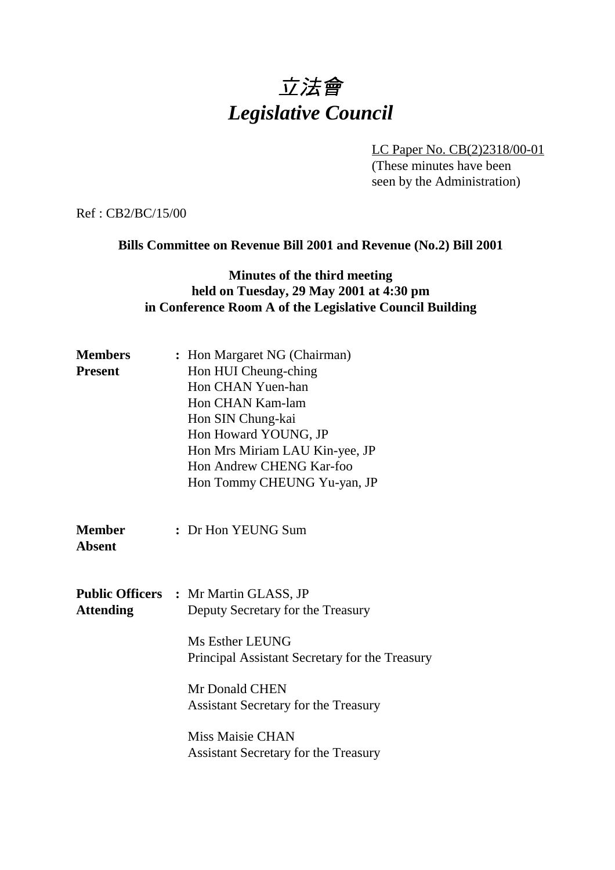# 立法會 *Legislative Council*

LC Paper No. CB(2)2318/00-01

(These minutes have been seen by the Administration)

Ref : CB2/BC/15/00

### **Bills Committee on Revenue Bill 2001 and Revenue (No.2) Bill 2001**

## **Minutes of the third meeting held on Tuesday, 29 May 2001 at 4:30 pm in Conference Room A of the Legislative Council Building**

| <b>Members</b><br><b>Present</b> | : Hon Margaret NG (Chairman)<br>Hon HUI Cheung-ching<br>Hon CHAN Yuen-han<br>Hon CHAN Kam-lam<br>Hon SIN Chung-kai<br>Hon Howard YOUNG, JP<br>Hon Mrs Miriam LAU Kin-yee, JP<br>Hon Andrew CHENG Kar-foo<br>Hon Tommy CHEUNG Yu-yan, JP                                                           |
|----------------------------------|---------------------------------------------------------------------------------------------------------------------------------------------------------------------------------------------------------------------------------------------------------------------------------------------------|
| <b>Member</b><br><b>Absent</b>   | : Dr Hon YEUNG Sum                                                                                                                                                                                                                                                                                |
| <b>Attending</b>                 | <b>Public Officers : Mr Martin GLASS, JP</b><br>Deputy Secretary for the Treasury<br>Ms Esther LEUNG<br>Principal Assistant Secretary for the Treasury<br>Mr Donald CHEN<br><b>Assistant Secretary for the Treasury</b><br><b>Miss Maisie CHAN</b><br><b>Assistant Secretary for the Treasury</b> |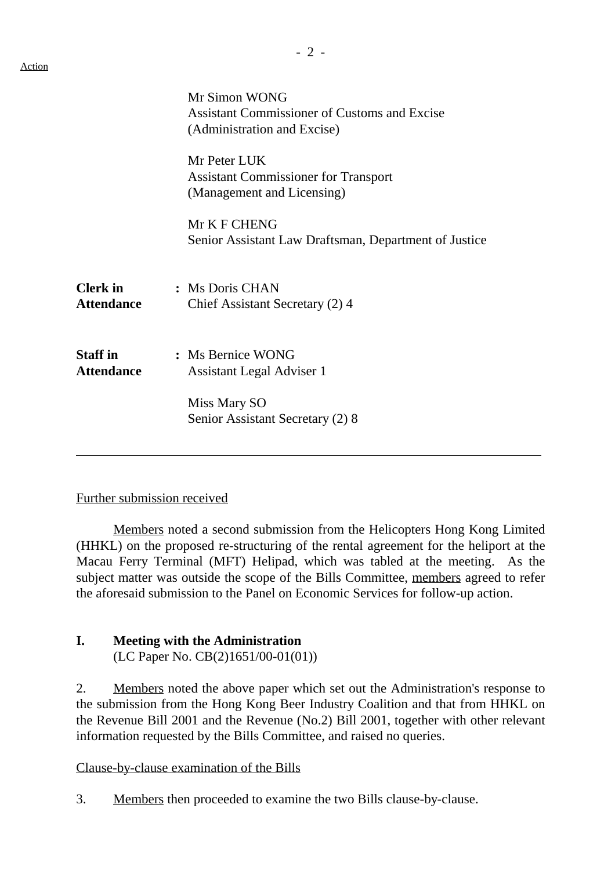|                                      | Mr Simon WONG<br><b>Assistant Commissioner of Customs and Excise</b><br>(Administration and Excise) |
|--------------------------------------|-----------------------------------------------------------------------------------------------------|
|                                      | Mr Peter LUK<br><b>Assistant Commissioner for Transport</b><br>(Management and Licensing)           |
|                                      | Mr K F CHENG<br>Senior Assistant Law Draftsman, Department of Justice                               |
| <b>Clerk</b> in<br><b>Attendance</b> | : Ms Doris CHAN<br>Chief Assistant Secretary (2) 4                                                  |
| <b>Staff</b> in<br><b>Attendance</b> | : Ms Bernice WONG<br><b>Assistant Legal Adviser 1</b><br>Miss Mary SO                               |
|                                      | Senior Assistant Secretary (2) 8                                                                    |

#### Further submission received

Members noted a second submission from the Helicopters Hong Kong Limited (HHKL) on the proposed re-structuring of the rental agreement for the heliport at the Macau Ferry Terminal (MFT) Helipad, which was tabled at the meeting. As the subject matter was outside the scope of the Bills Committee, members agreed to refer the aforesaid submission to the Panel on Economic Services for follow-up action.

### **I. Meeting with the Administration**

(LC Paper No. CB(2)1651/00-01(01))

2. Members noted the above paper which set out the Administration's response to the submission from the Hong Kong Beer Industry Coalition and that from HHKL on the Revenue Bill 2001 and the Revenue (No.2) Bill 2001, together with other relevant information requested by the Bills Committee, and raised no queries.

#### Clause-by-clause examination of the Bills

3. Members then proceeded to examine the two Bills clause-by-clause.